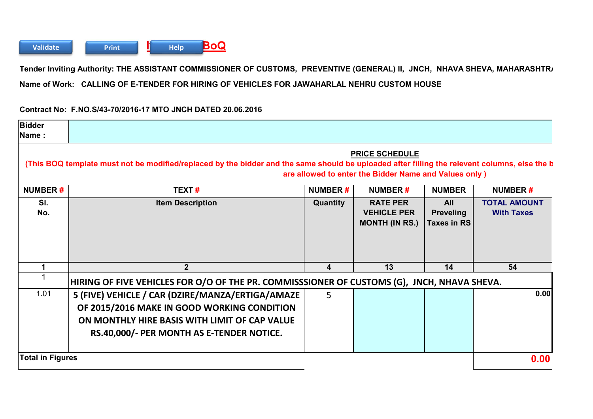

Tender Inviting Authority: THE ASSISTANT COMMISSIONER OF CUSTOMS, PREVENTIVE (GENERAL) II, JNCH, NHAVA SHEVA, MAHARASHTR/ Name of Work: CALLING OF E-TENDER FOR HIRING OF VEHICLES FOR JAWAHARLAL NEHRU CUSTOM HOUSE

## Contract No: F.NO.S/43-70/2016-17 MTO JNCH DATED 20.06.2016

| <b>Bidder</b>           |                                                                                                                                                                                               |                |                                                                                 |                                                      |                                          |
|-------------------------|-----------------------------------------------------------------------------------------------------------------------------------------------------------------------------------------------|----------------|---------------------------------------------------------------------------------|------------------------------------------------------|------------------------------------------|
| Name:                   |                                                                                                                                                                                               |                |                                                                                 |                                                      |                                          |
|                         | (This BOQ template must not be modified/replaced by the bidder and the same should be uploaded after filling the relevent columns, else the b                                                 |                | <b>PRICE SCHEDULE</b><br>are allowed to enter the Bidder Name and Values only ) |                                                      |                                          |
| <b>NUMBER#</b>          | <b>TEXT#</b>                                                                                                                                                                                  | <b>NUMBER#</b> | <b>NUMBER#</b>                                                                  | <b>NUMBER</b>                                        | <b>NUMBER#</b>                           |
| SI.<br>No.              | <b>Item Description</b>                                                                                                                                                                       | Quantity       | <b>RATE PER</b><br><b>VEHICLE PER</b><br><b>MONTH (IN RS.)</b>                  | <b>All</b><br><b>Preveling</b><br><b>Taxes in RS</b> | <b>TOTAL AMOUNT</b><br><b>With Taxes</b> |
|                         | 2 <sup>2</sup>                                                                                                                                                                                | 4              | 13                                                                              | 14                                                   | 54                                       |
|                         | HIRING OF FIVE VEHICLES FOR O/O OF THE PR. COMMISSSIONER OF CUSTOMS (G), JNCH, NHAVA SHEVA.                                                                                                   |                |                                                                                 |                                                      |                                          |
| 1.01                    | 5 (FIVE) VEHICLE / CAR (DZIRE/MANZA/ERTIGA/AMAZE<br>OF 2015/2016 MAKE IN GOOD WORKING CONDITION<br>ON MONTHLY HIRE BASIS WITH LIMIT OF CAP VALUE<br>RS.40,000/- PER MONTH AS E-TENDER NOTICE. | 5              |                                                                                 |                                                      | 0.00                                     |
| <b>Total in Figures</b> |                                                                                                                                                                                               |                |                                                                                 |                                                      | 0.00                                     |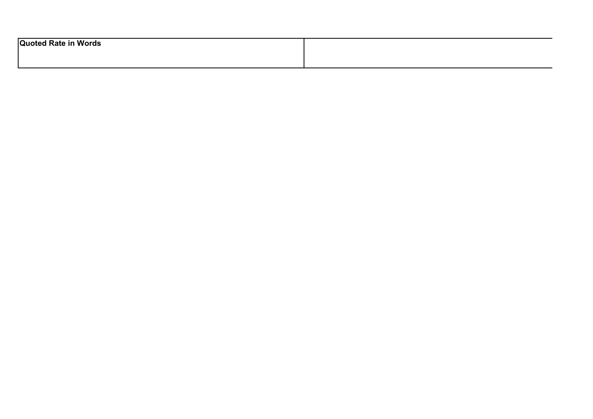| .<br>Words<br>. |  |
|-----------------|--|
|                 |  |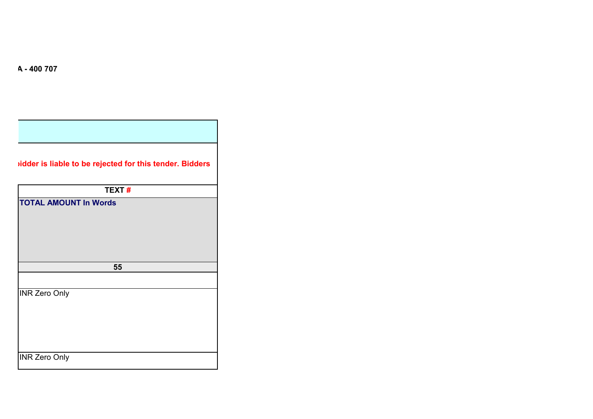| vidder is liable to be rejected for this tender. Bidders |
|----------------------------------------------------------|
| TEXT#                                                    |
| <b>TOTAL AMOUNT In Words</b>                             |
| 55                                                       |
| <b>INR Zero Only</b>                                     |
| <b>INR Zero Only</b>                                     |

 $\overline{\phantom{0}}$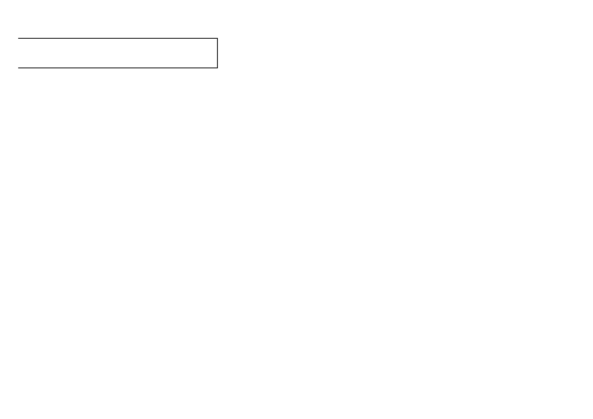